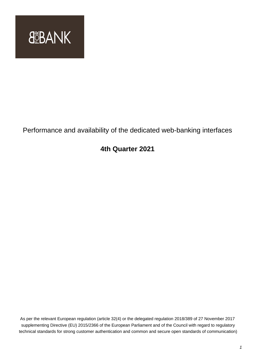

# Performance and availability of the dedicated web-banking interfaces

## **4th Quarter 2021**

As per the relevant European regulation (article 32(4) or the delegated regulation 2018/389 of 27 November 2017 supplementing Directive (EU) 2015/2366 of the European Parliament and of the Council with regard to regulatory technical standards for strong customer authentication and common and secure open standards of communication)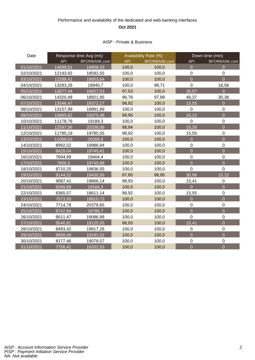### Performance and availability of the dedicated and web-banking interfaces **Oct 2021**

#### AISP - Private & Business

| Date       | Response time Avg (ms) |              | Availability Rate (%) |                     | Down time (min)  |                  |
|------------|------------------------|--------------|-----------------------|---------------------|------------------|------------------|
|            | <b>API</b>             | BFORBANK.com | <b>API</b>            | <b>BFORBANK.com</b> | <b>API</b>       | BFORBANK.com     |
| 01/10/2021 | 14698,51               | 18908,33     | 100,0                 | 100,0               | $\overline{0}$   | $\Omega$         |
| 02/10/2021 | 12193,92               | 18592,55     | 100,0                 | 100,0               | $\boldsymbol{0}$ | $\boldsymbol{0}$ |
| 03/10/2021 | 12288,41               | 19003,64     | 100,0                 | 100,0               | $\overline{0}$   | $\overline{0}$   |
| 04/10/2021 | 13283,26               | 18940,7      | 100,0                 | 98,71               | $\overline{0}$   | 18,58            |
| 05/10/2021 | 13677,44               | 18927,53     | 97,53                 | 100,0               | 35,57            | $\overline{0}$   |
| 06/10/2021 | 14320,48               | 18921,95     | 96,78                 | 97,89               | 46,37            | 30,38            |
| 07/10/2021 | 13546,47               | 19372,27     | 98,92                 | 100,0               | 15,55            | $\overline{0}$   |
| 08/10/2021 | 13157,99               | 18991,99     | 100,0                 | 100,0               | $\mathbf 0$      | $\mathbf 0$      |
| 09/10/2021 | 10885,82               | 19375,48     | 98,95                 | 100,0               | 15,12            | $\overline{0}$   |
| 10/10/2021 | 11178,76               | 19189,3      | 100,0                 | 100,0               | $\mathbf 0$      | $\pmb{0}$        |
| 11/10/2021 | 12597,56               | 20338,06     | 98,94                 | 100,0               | 15,26            | $\overline{0}$   |
| 12/10/2021 | 11785,19               | 19785,55     | 98,92                 | 100,0               | 15,55            | $\mathbf 0$      |
| 13/10/2021 | 11068,63               | 20268,6      | 100,0                 | 100,0               | $\overline{0}$   | $\overline{0}$   |
| 14/10/2021 | 8992,52                | 19986,94     | 100,0                 | 100,0               | $\boldsymbol{0}$ | $\pmb{0}$        |
| 15/10/2021 | 8428,04                | 19740,41     | 100,0                 | 100,0               | $\overline{0}$   | $\overline{0}$   |
| 16/10/2021 | 7694,99                | 19404,4      | 100,0                 | 100,0               | $\boldsymbol{0}$ | $\mathbf 0$      |
| 17/10/2021 | 7800,3                 | 19745,88     | 100,0                 | 100,0               | $\overline{0}$   | $\overline{0}$   |
| 18/10/2021 | 8710,25                | 19836,55     | 100,0                 | 100,0               | $\overline{0}$   | $\mathbf 0$      |
| 19/10/2021 | 9144,52                | 19430,56     | 97,85                 | 98,95               | 30,96            | 15,12            |
| 20/10/2021 | 9087,41                | 19666,14     | 98,93                 | 100,0               | 15,41            | $\boldsymbol{0}$ |
| 21/10/2021 | 8289,68                | 19164,3      | 100,0                 | 100,0               | $\overline{0}$   | $\overline{0}$   |
| 22/10/2021 | 8365,57                | 18611,14     | 98,92                 | 100,0               | 15,55            | $\mathbf 0$      |
| 23/10/2021 | 7573,93                | 18810,73     | 100,0                 | 100,0               | $\overline{0}$   | $\overline{0}$   |
| 24/10/2021 | 7714,78                | 20378,65     | 100,0                 | 100,0               | $\mathbf 0$      | $\mathbf 0$      |
| 25/10/2021 | 8747,84                | 18786,7      | 100,0                 | 100,0               | $\overline{0}$   | $\overline{0}$   |
| 26/10/2021 | 9011,47                | 19086,99     | 100,0                 | 100,0               | $\overline{0}$   | $\pmb{0}$        |
| 27/10/2021 | 9546,81                | 19125,55     | 98,93                 | 100,0               | 15,41            | $\overline{0}$   |
| 28/10/2021 | 8493,42                | 19917,26     | 100,0                 | 100,0               | $\mathbf 0$      | $\mathbf 0$      |
| 29/10/2021 | 8958,49                | 19191,52     | 100,0                 | 100,0               | $\overline{0}$   | $\overline{0}$   |
| 30/10/2021 | 8177,46                | 19078,57     | 100,0                 | 100,0               | $\mathbf 0$      | $\pmb{0}$        |
| 31/10/2021 | 7756,41                | 19332,53     | 100,0                 | 100,0               | $\overline{0}$   | $\overline{0}$   |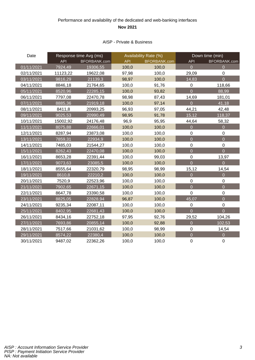### Performance and availability of the dedicated and web-banking interfaces **Nov 2021**

#### AISP - Private & Business

| Date       | Response time Avg (ms) |              | Availability Rate (%) |              | Down time (min)  |                  |
|------------|------------------------|--------------|-----------------------|--------------|------------------|------------------|
|            | <b>API</b>             | BFORBANK.com | <b>API</b>            | BFORBANK.com | <b>API</b>       | BFORBANK.com     |
| 01/11/2021 | 7924,49                | 19306,55     | 100,0                 | 100,0        | $\overline{0}$   | $\overline{0}$   |
| 02/11/2021 | 11123,22               | 19622,08     | 97,98                 | 100,0        | 29,09            | $\boldsymbol{0}$ |
| 03/11/2021 | 9816,29                | 21139,3      | 98,97                 | 100,0        | 14,83            | $\overline{0}$   |
| 04/11/2021 | 8846,18                | 21764,65     | 100,0                 | 91,76        | $\mathbf 0$      | 118,66           |
| 05/11/2021 | 8520,96                | 22285,15     | 100,0                 | 93,82        | $\overline{0}$   | 88,99            |
| 06/11/2021 | 7797,08                | 22470,78     | 98,98                 | 87,43        | 14,69            | 181,01           |
| 07/11/2021 | 8885,36                | 21919,18     | 100,0                 | 97,14        | $\overline{0}$   | 41,18            |
| 08/11/2021 | 8411,8                 | 20993,25     | 96,93                 | 97,05        | 44,21            | 42,48            |
| 09/11/2021 | 9025,53                | 20990,49     | 98,95                 | 91,78        | 15,12            | 118,37           |
| 10/11/2021 | 15002,92               | 24176,48     | 96,9                  | 95,95        | 44,64            | 58,32            |
| 11/11/2021 | 8075,88                | 22666,01     | 100,0                 | 100,0        | $\overline{0}$   | $\overline{0}$   |
| 12/11/2021 | 8287,94                | 23873,08     | 100,0                 | 100,0        | $\boldsymbol{0}$ | $\mathbf 0$      |
| 13/11/2021 | 7859,31                | 22934,9      | 100,0                 | 100,0        | $\overline{0}$   | $\overline{0}$   |
| 14/11/2021 | 7485,03                | 21544,27     | 100,0                 | 100,0        | $\overline{0}$   | $\mathbf 0$      |
| 15/11/2021 | 8262,43                | 22470,08     | 100,0                 | 100,0        | $\overline{0}$   | $\overline{0}$   |
| 16/11/2021 | 8653,28                | 22391,44     | 100,0                 | 99,03        | $\boldsymbol{0}$ | 13,97            |
| 17/11/2021 | 9073,63                | 23085,5      | 100,0                 | 100,0        | $\overline{0}$   | $\overline{0}$   |
| 18/11/2021 | 8555,64                | 22320,79     | 98,95                 | 98,99        | 15,12            | 14,54            |
| 19/11/2021 | 8610,8                 | 22210,2      | 100,0                 | 100,0        | $\overline{0}$   | $\overline{0}$   |
| 20/11/2021 | 7520,9                 | 22523,96     | 100,0                 | 100,0        | $\mathbf 0$      | $\boldsymbol{0}$ |
| 21/11/2021 | 7902,65                | 22671,15     | 100,0                 | 100,0        | $\overline{0}$   | $\overline{0}$   |
| 22/11/2021 | 8647,78                | 23390,58     | 100,0                 | 100,0        | $\mathbf 0$      | $\boldsymbol{0}$ |
| 23/11/2021 | 8825,05                | 22828,94     | 96,87                 | 100,0        | 45,07            | $\overline{0}$   |
| 24/11/2021 | 9235,34                | 22087,11     | 100,0                 | 100,0        | 0                | $\pmb{0}$        |
| 25/11/2021 | 8402,95                | 22681,43     | 100,0                 | 100,0        | $\overline{0}$   | $\overline{0}$   |
| 26/11/2021 | 8434,16                | 22752,18     | 97,95                 | 92,76        | 29,52            | 104,26           |
| 27/11/2021 | 7693,86                | 20855,14     | 100,0                 | 92,88        | $\overline{0}$   | 102,53           |
| 28/11/2021 | 7517,66                | 21031,62     | 100,0                 | 98,99        | $\mathbf 0$      | 14,54            |
| 29/11/2021 | 8574,22                | 22380,4      | 100,0                 | 100,0        | $\overline{0}$   | $\overline{0}$   |
| 30/11/2021 | 9487,02                | 22362,26     | 100,0                 | 100,0        | $\mathbf 0$      | $\overline{0}$   |